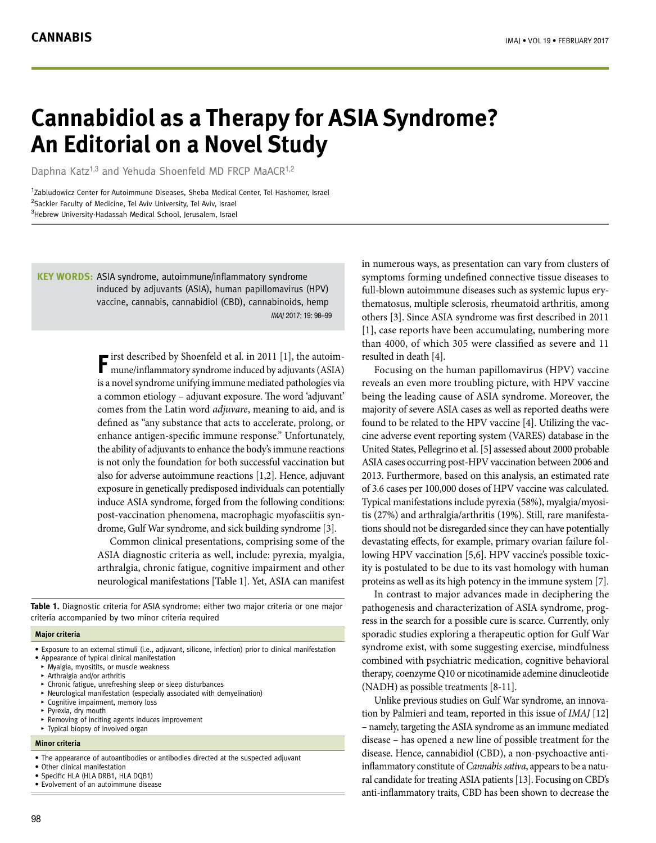# **Cannabidiol as a Therapy for ASIA Syndrome? An Editorial on a Novel Study**

Daphna Katz<sup>1,3</sup> and Yehuda Shoenfeld MD FRCP MaACR<sup>1,2</sup>

<sup>1</sup>Zabludowicz Center for Autoimmune Diseases, Sheba Medical Center, Tel Hashomer, Israel <sup>2</sup>Sackler Faculty of Medicine, Tel Aviv University, Tel Aviv, Israel <sup>3</sup>Hebrew University-Hadassah Medical School, Jerusalem, Israel

**KEY WORDS:** ASIA syndrome, autoimmune/inflammatory syndrome induced by adjuvants (ASIA), human papillomavirus (HPV) vaccine, cannabis, cannabidiol (CBD), cannabinoids, hemp IMAJ 2017; 19: 98–99

> **F** irst described by Shoenfeld et al. in 2011 [1], the autoim-<br>mune/inflammatory syndrome induced by adjuvants (ASIA) is a novel syndrome unifying immune mediated pathologies via a common etiology – adjuvant exposure. The word 'adjuvant' comes from the Latin word *adjuvare*, meaning to aid, and is defined as "any substance that acts to accelerate, prolong, or enhance antigen-specific immune response." Unfortunately, the ability of adjuvants to enhance the body's immune reactions is not only the foundation for both successful vaccination but also for adverse autoimmune reactions [1,2]. Hence, adjuvant exposure in genetically predisposed individuals can potentially induce ASIA syndrome, forged from the following conditions: post-vaccination phenomena, macrophagic myofasciitis syndrome, Gulf War syndrome, and sick building syndrome [3].

> Common clinical presentations, comprising some of the ASIA diagnostic criteria as well, include: pyrexia, myalgia, arthralgia, chronic fatigue, cognitive impairment and other neurological manifestations [Table 1]. Yet, ASIA can manifest

**Table 1.** Diagnostic criteria for ASIA syndrome: either two major criteria or one major criteria accompanied by two minor criteria required

## **Major criteria**

- Exposure to an external stimuli (i.e., adjuvant, silicone, infection) prior to clinical manifestation • Appearance of typical clinical manifestation
- 
- ▸ Myalgia, myositits, or muscle weakness
- ▸ Arthralgia and/or arthritis
- ▸ Chronic fatigue, unrefreshing sleep or sleep disturbances
- ▸ Neurological manifestation (especially associated with demyelination) Cognitive impairment, memory loss
- 
- ▸ Pyrexia, dry mouth
- Removing of inciting agents induces improvement
- ▸ Typical biopsy of involved organ

## **Minor criteria**

- The appearance of autoantibodies or antibodies directed at the suspected adjuvant
- Other clinical manifestation
- Specific HLA (HLA DRB1, HLA DQB1)
- Evolvement of an autoimmune disease

in numerous ways, as presentation can vary from clusters of symptoms forming undefined connective tissue diseases to full-blown autoimmune diseases such as systemic lupus erythematosus, multiple sclerosis, rheumatoid arthritis, among others [3]. Since ASIA syndrome was first described in 2011 [1], case reports have been accumulating, numbering more than 4000, of which 305 were classified as severe and 11 resulted in death [4].

Focusing on the human papillomavirus (HPV) vaccine reveals an even more troubling picture, with HPV vaccine being the leading cause of ASIA syndrome. Moreover, the majority of severe ASIA cases as well as reported deaths were found to be related to the HPV vaccine [4]. Utilizing the vaccine adverse event reporting system (VARES) database in the United States, Pellegrino et al. [5] assessed about 2000 probable ASIA cases occurring post-HPV vaccination between 2006 and 2013. Furthermore, based on this analysis, an estimated rate of 3.6 cases per 100,000 doses of HPV vaccine was calculated. Typical manifestations include pyrexia (58%), myalgia/myositis (27%) and arthralgia/arthritis (19%). Still, rare manifestations should not be disregarded since they can have potentially devastating effects, for example, primary ovarian failure following HPV vaccination [5,6]. HPV vaccine's possible toxicity is postulated to be due to its vast homology with human proteins as well as its high potency in the immune system [7].

In contrast to major advances made in deciphering the pathogenesis and characterization of ASIA syndrome, progress in the search for a possible cure is scarce. Currently, only sporadic studies exploring a therapeutic option for Gulf War syndrome exist, with some suggesting exercise, mindfulness combined with psychiatric medication, cognitive behavioral therapy, coenzyme Q10 or nicotinamide ademine dinucleotide (NADH) as possible treatments [8-11].

Unlike previous studies on Gulf War syndrome, an innovation by Palmieri and team, reported in this issue of *IMAJ* [12] – namely, targeting the ASIA syndrome as an immune mediated disease – has opened a new line of possible treatment for the disease. Hence, cannabidiol (CBD), a non-psychoactive antiinflammatory constitute of *Cannabis sativa*, appears to be a natural candidate for treating ASIA patients [13]. Focusing on CBD's anti-inflammatory traits, CBD has been shown to decrease the